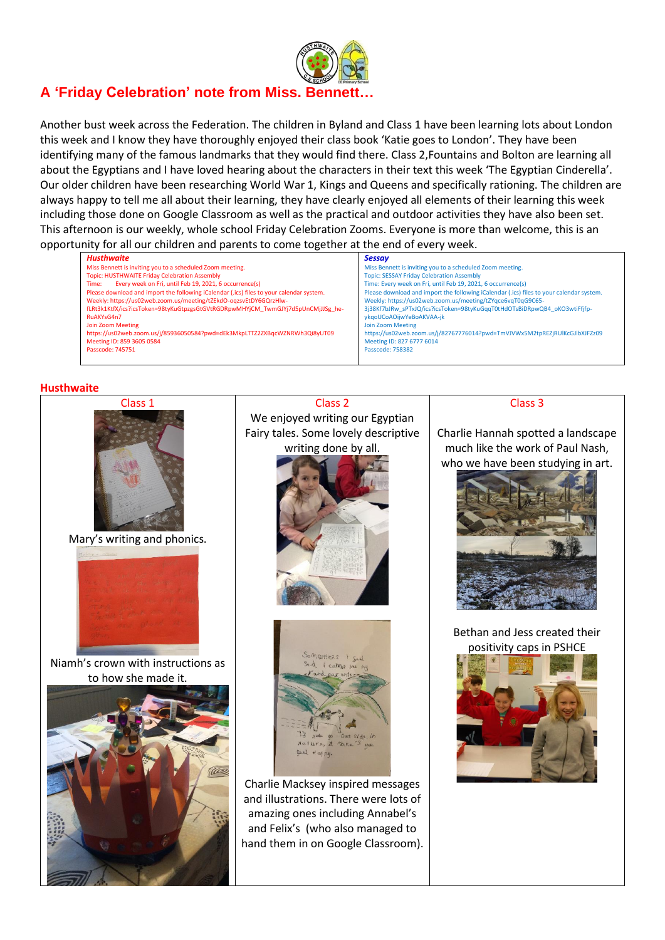

# **A 'Friday Celebration' note from Miss. Bennett…**

Another bust week across the Federation. The children in Byland and Class 1 have been learning lots about London this week and I know they have thoroughly enjoyed their class book 'Katie goes to London'. They have been identifying many of the famous landmarks that they would find there. Class 2,Fountains and Bolton are learning all about the Egyptians and I have loved hearing about the characters in their text this week 'The Egyptian Cinderella'. Our older children have been researching World War 1, Kings and Queens and specifically rationing. The children are always happy to tell me all about their learning, they have clearly enjoyed all elements of their learning this week including those done on Google Classroom as well as the practical and outdoor activities they have also been set. This afternoon is our weekly, whole school Friday Celebration Zooms. Everyone is more than welcome, this is an opportunity for all our children and parents to come together at the end of every week.

| Husthwaite                                                                               | <b>Sessay</b>                                                                            |
|------------------------------------------------------------------------------------------|------------------------------------------------------------------------------------------|
| Miss Bennett is inviting you to a scheduled Zoom meeting.                                | Miss Bennett is inviting you to a scheduled Zoom meeting.                                |
| Topic: HUSTHWAITE Friday Celebration Assembly                                            | <b>Topic: SESSAY Friday Celebration Assembly</b>                                         |
| Every week on Fri, until Feb 19, 2021, 6 occurrence(s)<br>Time:                          | Time: Every week on Fri, until Feb 19, 2021, 6 occurrence(s)                             |
| Please download and import the following iCalendar (.ics) files to your calendar system. | Please download and import the following iCalendar (.ics) files to your calendar system. |
| Weekly: https://us02web.zoom.us/meeting/tZEkdO-ogzsvEtDY6GQrzHlw-                        | Weekly: https://us02web.zoom.us/meeting/tZYqce6vqT0qG9C65-                               |
| fLRt3k1KtfX/ics?icsToken=98tyKuGtpzgsGtGVtRGDRpwMHYjCM TwmGJYj7d5pUnCMjJJSg he-          | 3j38Kf7bJRw sPTxJQ/ics?icsToken=98tyKuGqqT0tHdOTsBiDRpwQB4 oKO3wtiFfifp-                 |
| RuAKYsG4n7                                                                               | ykgoUCoAOijwYeBoAKVAA-jk                                                                 |
| Join Zoom Meeting                                                                        | Join Zoom Meeting                                                                        |
| https://us02web.zoom.us/j/85936050584?pwd=dEk3MkpLTTZ2ZXBqcWZNRWh3Qi8yUT09               | https://us02web.zoom.us/j/82767776014?pwd=TmVJVWx5M2tpREZjRUlKcGJlbXJFZz09               |
| Meeting ID: 859 3605 0584                                                                | Meeting ID: 827 6777 6014                                                                |
| Passcode: 745751                                                                         | Passcode: 758382                                                                         |

#### **Husthwaite**



Mary's writing and phonics.



Niamh's crown with instructions as to how she made it.



Class 2 We enjoyed writing our Egyptian Fairy tales. Some lovely descriptive writing done by all.





Charlie Macksey inspired messages and illustrations. There were lots of amazing ones including Annabel's and Felix's (who also managed to hand them in on Google Classroom).

#### Class 3

Charlie Hannah spotted a landscape much like the work of Paul Nash, who we have been studying in art.



Bethan and Jess created their positivity caps in PSHCE

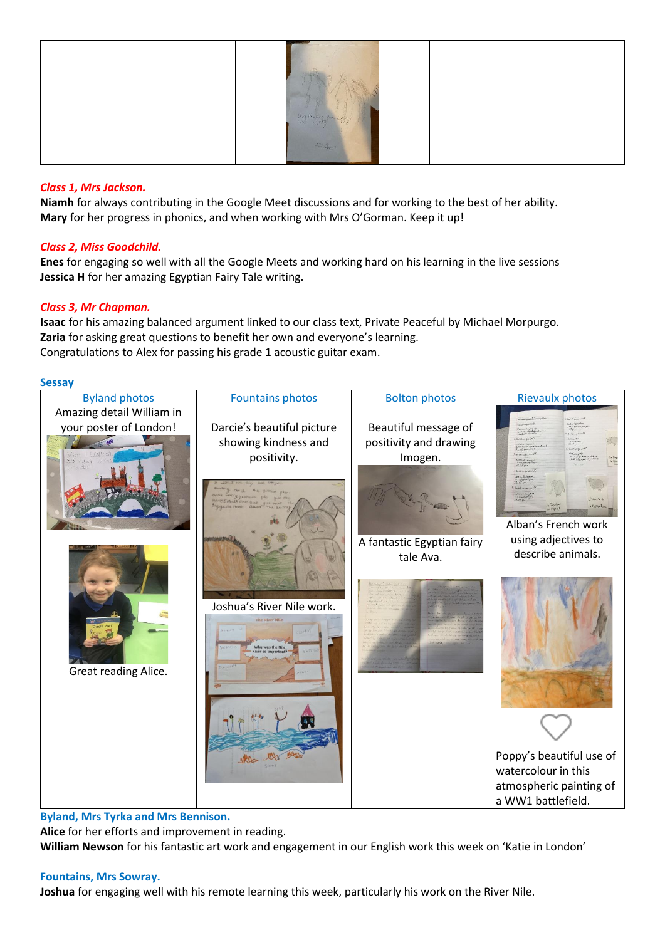

# *Class 1, Mrs Jackson.*

**Niamh** for always contributing in the Google Meet discussions and for working to the best of her ability. **Mary** for her progress in phonics, and when working with Mrs O'Gorman. Keep it up!

# *Class 2, Miss Goodchild.*

**Enes** for engaging so well with all the Google Meets and working hard on his learning in the live sessions **Jessica H** for her amazing Egyptian Fairy Tale writing.

# *Class 3, Mr Chapman.*

**Isaac** for his amazing balanced argument linked to our class text, Private Peaceful by Michael Morpurgo. **Zaria** for asking great questions to benefit her own and everyone's learning. Congratulations to Alex for passing his grade 1 acoustic guitar exam.

#### **Sessay**



**Byland, Mrs Tyrka and Mrs Bennison.**

**Alice** for her efforts and improvement in reading.

**William Newson** for his fantastic art work and engagement in our English work this week on 'Katie in London'

## **Fountains, Mrs Sowray.**

**Joshua** for engaging well with his remote learning this week, particularly his work on the River Nile.